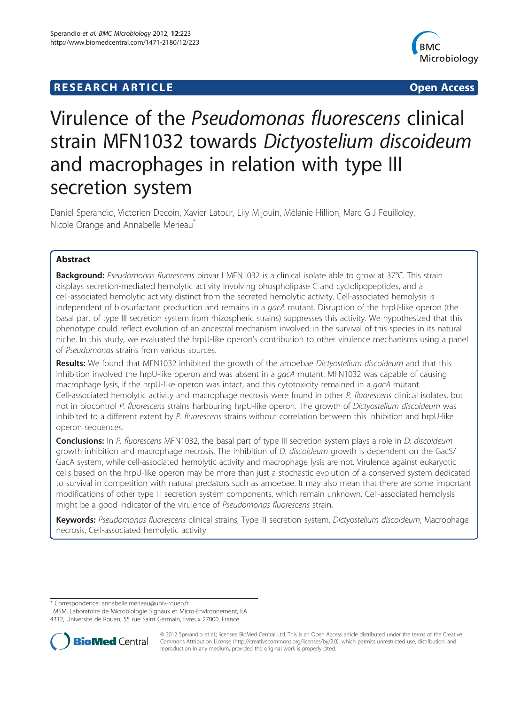## **RESEARCH ARTICLE Example 2014 12:30 THE Open Access**



# Virulence of the Pseudomonas fluorescens clinical strain MFN1032 towards Dictyostelium discoideum and macrophages in relation with type III secretion system

Daniel Sperandio, Victorien Decoin, Xavier Latour, Lily Mijouin, Mélanie Hillion, Marc G J Feuilloley, Nicole Orange and Annabelle Merieau<sup>®</sup>

## Abstract

Background: Pseudomonas fluorescens biovar I MFN1032 is a clinical isolate able to grow at 37°C. This strain displays secretion-mediated hemolytic activity involving phospholipase C and cyclolipopeptides, and a cell-associated hemolytic activity distinct from the secreted hemolytic activity. Cell-associated hemolysis is independent of biosurfactant production and remains in a gacA mutant. Disruption of the hrpU-like operon (the basal part of type III secretion system from rhizospheric strains) suppresses this activity. We hypothesized that this phenotype could reflect evolution of an ancestral mechanism involved in the survival of this species in its natural niche. In this study, we evaluated the hrpU-like operon's contribution to other virulence mechanisms using a panel of Pseudomonas strains from various sources.

Results: We found that MFN1032 inhibited the growth of the amoebae Dictyostelium discoideum and that this inhibition involved the hrpU-like operon and was absent in a gacA mutant. MFN1032 was capable of causing macrophage lysis, if the hrpU-like operon was intact, and this cytotoxicity remained in a gacA mutant. Cell-associated hemolytic activity and macrophage necrosis were found in other P. fluorescens clinical isolates, but not in biocontrol P. fluorescens strains harbouring hrpU-like operon. The growth of Dictyostelium discoideum was inhibited to a different extent by P. fluorescens strains without correlation between this inhibition and hrpU-like operon sequences.

Conclusions: In P. fluorescens MFN1032, the basal part of type III secretion system plays a role in D. discoideum growth inhibition and macrophage necrosis. The inhibition of D. discoideum growth is dependent on the GacS/ GacA system, while cell-associated hemolytic activity and macrophage lysis are not. Virulence against eukaryotic cells based on the hrpU-like operon may be more than just a stochastic evolution of a conserved system dedicated to survival in competition with natural predators such as amoebae. It may also mean that there are some important modifications of other type III secretion system components, which remain unknown. Cell-associated hemolysis might be a good indicator of the virulence of Pseudomonas fluorescens strain.

Keywords: Pseudomonas fluorescens clinical strains, Type III secretion system, Dictyostelium discoideum, Macrophage necrosis, Cell-associated hemolytic activity

\* Correspondence: [annabelle.merieau@univ-rouen.fr](mailto:annabelle.merieau@univ--ouen.fr)

LMSM, Laboratoire de Microbiologie Signaux et Micro-Environnement, EA

4312, Université de Rouen, 55 rue Saint Germain, Evreux 27000, France



© 2012 Sperandio et al.; licensee BioMed Central Ltd. This is an Open Access article distributed under the terms of the Creative Commons Attribution License [\(http://creativecommons.org/licenses/by/2.0\)](http://creativecommons.org/licenses/by/2.0), which permits unrestricted use, distribution, and reproduction in any medium, provided the original work is properly cited.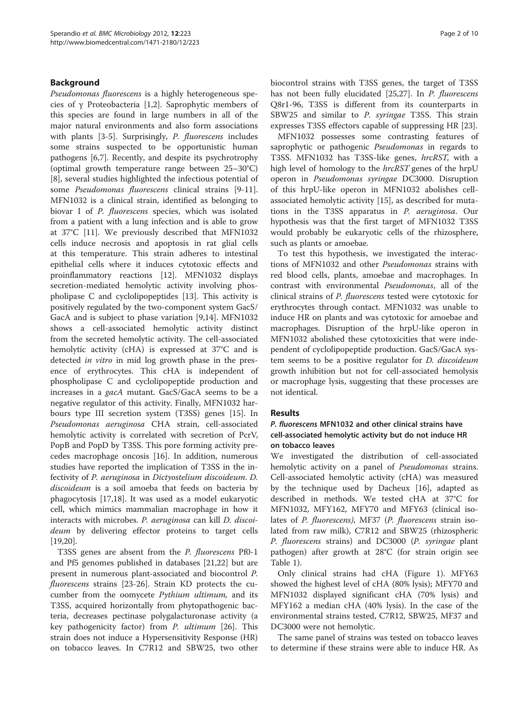#### Background

Pseudomonas fluorescens is a highly heterogeneous species of γ Proteobacteria [\[1,2](#page-8-0)]. Saprophytic members of this species are found in large numbers in all of the major natural environments and also form associations with plants [[3-5\]](#page-8-0). Surprisingly, *P. fluorescens* includes some strains suspected to be opportunistic human pathogens [\[6,7](#page-8-0)]. Recently, and despite its psychrotrophy (optimal growth temperature range between 25–30°C) [[8\]](#page-8-0), several studies highlighted the infectious potential of some *Pseudomonas fluorescens* clinical strains [[9-11](#page-8-0)]. MFN1032 is a clinical strain, identified as belonging to biovar I of P. fluorescens species, which was isolated from a patient with a lung infection and is able to grow at 37°C [\[11\]](#page-8-0). We previously described that MFN1032 cells induce necrosis and apoptosis in rat glial cells at this temperature. This strain adheres to intestinal epithelial cells where it induces cytotoxic effects and proinflammatory reactions [[12\]](#page-8-0). MFN1032 displays secretion-mediated hemolytic activity involving phospholipase C and cyclolipopeptides [\[13](#page-8-0)]. This activity is positively regulated by the two-component system GacS/ GacA and is subject to phase variation [[9,14\]](#page-8-0). MFN1032 shows a cell-associated hemolytic activity distinct from the secreted hemolytic activity. The cell-associated hemolytic activity (cHA) is expressed at 37°C and is detected in vitro in mid log growth phase in the presence of erythrocytes. This cHA is independent of phospholipase C and cyclolipopeptide production and increases in a gacA mutant. GacS/GacA seems to be a negative regulator of this activity. Finally, MFN1032 harbours type III secretion system (T3SS) genes [[15](#page-8-0)]. In Pseudomonas aeruginosa CHA strain, cell-associated hemolytic activity is correlated with secretion of PcrV, PopB and PopD by T3SS. This pore forming activity precedes macrophage oncosis [[16\]](#page-8-0). In addition, numerous studies have reported the implication of T3SS in the infectivity of P. aeruginosa in Dictyostelium discoideum. D. discoideum is a soil amoeba that feeds on bacteria by phagocytosis [[17](#page-8-0),[18](#page-8-0)]. It was used as a model eukaryotic cell, which mimics mammalian macrophage in how it interacts with microbes. P. aeruginosa can kill D. discoideum by delivering effector proteins to target cells  $[19,20]$  $[19,20]$ .

T3SS genes are absent from the P. fluorescens Pf0-1 and Pf5 genomes published in databases [\[21,22](#page-8-0)] but are present in numerous plant-associated and biocontrol P. fluorescens strains [\[23-26](#page-8-0)]. Strain KD protects the cucumber from the oomycete Pythium ultimum, and its T3SS, acquired horizontally from phytopathogenic bacteria, decreases pectinase polygalacturonase activity (a key pathogenicity factor) from P. ultimum [[26\]](#page-8-0). This strain does not induce a Hypersensitivity Response (HR) on tobacco leaves. In C7R12 and SBW25, two other biocontrol strains with T3SS genes, the target of T3SS has not been fully elucidated [\[25](#page-8-0)[,27](#page-9-0)]. In P. fluorescens Q8r1-96, T3SS is different from its counterparts in SBW25 and similar to P. syringae T3SS. This strain expresses T3SS effectors capable of suppressing HR [[23](#page-8-0)].

MFN1032 possesses some contrasting features of saprophytic or pathogenic Pseudomonas in regards to T3SS. MFN1032 has T3SS-like genes, hrcRST, with a high level of homology to the *hrcRST* genes of the hrpU operon in Pseudomonas syringae DC3000. Disruption of this hrpU-like operon in MFN1032 abolishes cellassociated hemolytic activity [[15\]](#page-8-0), as described for mutations in the T3SS apparatus in P. aeruginosa. Our hypothesis was that the first target of MFN1032 T3SS would probably be eukaryotic cells of the rhizosphere, such as plants or amoebae.

To test this hypothesis, we investigated the interactions of MFN1032 and other Pseudomonas strains with red blood cells, plants, amoebae and macrophages. In contrast with environmental Pseudomonas, all of the clinical strains of P. fluorescens tested were cytotoxic for erythrocytes through contact. MFN1032 was unable to induce HR on plants and was cytotoxic for amoebae and macrophages. Disruption of the hrpU-like operon in MFN1032 abolished these cytotoxicities that were independent of cyclolipopeptide production. GacS/GacA system seems to be a positive regulator for *D. discoideum* growth inhibition but not for cell-associated hemolysis or macrophage lysis, suggesting that these processes are not identical.

#### Results

## P. fluorescens MFN1032 and other clinical strains have cell-associated hemolytic activity but do not induce HR on tobacco leaves

We investigated the distribution of cell-associated hemolytic activity on a panel of *Pseudomonas* strains. Cell-associated hemolytic activity (cHA) was measured by the technique used by Dacheux [\[16\]](#page-8-0), adapted as described in methods. We tested cHA at 37°C for MFN1032, MFY162, MFY70 and MFY63 (clinical isolates of P. fluorescens), MF37 (P. fluorescens strain isolated from raw milk), C7R12 and SBW25 (rhizospheric P. fluorescens strains) and DC3000 (P. syringae plant pathogen) after growth at 28°C (for strain origin see Table [1\)](#page-2-0).

Only clinical strains had cHA (Figure [1](#page-2-0)). MFY63 showed the highest level of cHA (80% lysis); MFY70 and MFN1032 displayed significant cHA (70% lysis) and MFY162 a median cHA (40% lysis). In the case of the environmental strains tested, C7R12, SBW25, MF37 and DC3000 were not hemolytic.

The same panel of strains was tested on tobacco leaves to determine if these strains were able to induce HR. As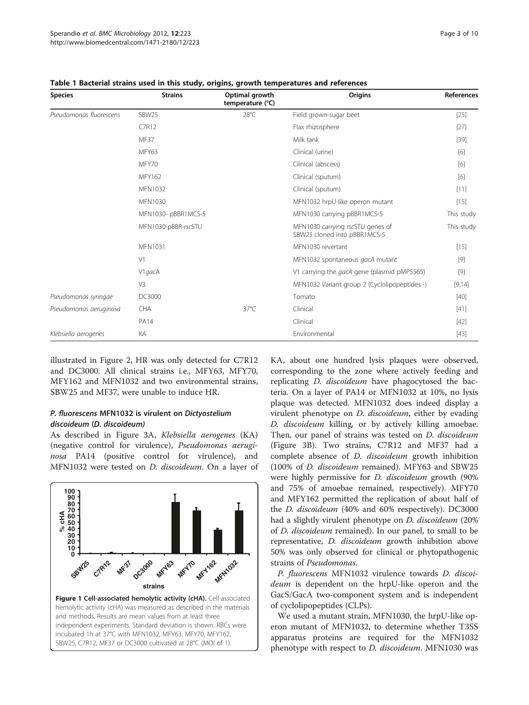| <b>Species</b>          | <b>Strains</b>      | Optimal growth<br>temperature (°C) | Origins                                                          | <b>References</b> |
|-------------------------|---------------------|------------------------------------|------------------------------------------------------------------|-------------------|
| Pseudomonas fluorescens | SBW25               | $28^{\circ}$ C                     | Field grown-sugar beet                                           | $[25]$            |
|                         | C7R12               |                                    | Flax rhizosphere                                                 | $[27]$            |
|                         | MF37                |                                    | Milk tank                                                        | $[39]$            |
|                         | MFY63               |                                    | Clinical (urine)                                                 | [6]               |
|                         | MFY70               |                                    | Clinical (abscess)                                               | $[6]$             |
|                         | MFY162              |                                    | Clinical (sputum)                                                | [6]               |
|                         | <b>MFN1032</b>      |                                    | Clinical (sputum)                                                | [11]              |
|                         | <b>MFN1030</b>      |                                    | MFN1032 hrpU-like operon mutant                                  | $[15]$            |
|                         | MFN1030-pBBR1MCS-5  |                                    | MFN1030 carrying pBBR1MCS-5                                      | This study        |
|                         | MFN1030-pBBR-rscSTU |                                    | MFN1030 carrying rscSTU genes of<br>SBW25 cloned into pBBR1MCS-5 | This study        |
|                         | MFN1031             |                                    | MFN1030 revertant                                                | $[15]$            |
|                         | V <sub>1</sub>      |                                    | MFN1032 spontaneous gacA mutant                                  | $[9]$             |
|                         | V1gacA              |                                    | V1 carrying the gacA gene (plasmid pMP5565)                      | $[9]$             |
|                         | V <sub>3</sub>      |                                    | MFN1032 Variant group 2 (Cyclolipopeptides -)                    | [9,14]            |
| Pseudomonas syringae    | DC3000              |                                    | Tomato                                                           | $[40]$            |
| Pseudomonas aeruginosa  | <b>CHA</b>          | $37^{\circ}$ C                     | Clinical                                                         | $[41]$            |
|                         | <b>PA14</b>         |                                    | Clinical                                                         | $[42]$            |
| Klebsiella aerogenes    | KA                  |                                    | Environmental                                                    | $[43]$            |

<span id="page-2-0"></span>Table 1 Bacterial strains used in this study, origins, growth temperatures and references

illustrated in Figure [2,](#page-3-0) HR was only detected for C7R12 and DC3000. All clinical strains i.e., MFY63, MFY70, MFY162 and MFN1032 and two environmental strains, SBW25 and MF37, were unable to induce HR.

#### P. fluorescens MFN1032 is virulent on Dictyostelium discoideum (D. discoideum)

As described in Figure [3A,](#page-4-0) Klebsiella aerogenes (KA) (negative control for virulence), Pseudomonas aeruginosa PA14 (positive control for virulence), and MFN1032 were tested on D. discoideum. On a layer of



KA, about one hundred lysis plaques were observed, corresponding to the zone where actively feeding and replicating *D. discoideum* have phagocytosed the bacteria. On a layer of PA14 or MFN1032 at 10%, no lysis plaque was detected. MFN1032 does indeed display a virulent phenotype on D. discoideum, either by evading D. discoideum killing, or by actively killing amoebae. Then, our panel of strains was tested on *D. discoideum* (Figure [3B](#page-4-0)). Two strains, C7R12 and MF37 had a complete absence of D. discoideum growth inhibition (100% of D. discoideum remained). MFY63 and SBW25 were highly permissive for D. discoideum growth (90% and 75% of amoebae remained, respectively). MFY70 and MFY162 permitted the replication of about half of the *D. discoideum* (40% and 60% respectively). DC3000 had a slightly virulent phenotype on D. discoideum (20% of D. discoideum remained). In our panel, to small to be representative, *D. discoideum* growth inhibition above 50% was only observed for clinical or phytopathogenic strains of Pseudomonas.

P. fluorescens MFN1032 virulence towards D. discoideum is dependent on the hrpU-like operon and the GacS/GacA two-component system and is independent of cyclolipopeptides (CLPs).

We used a mutant strain, MFN1030, the hrpU-like operon mutant of MFN1032, to determine whether T3SS apparatus proteins are required for the MFN1032 phenotype with respect to *D. discoideum*. MFN1030 was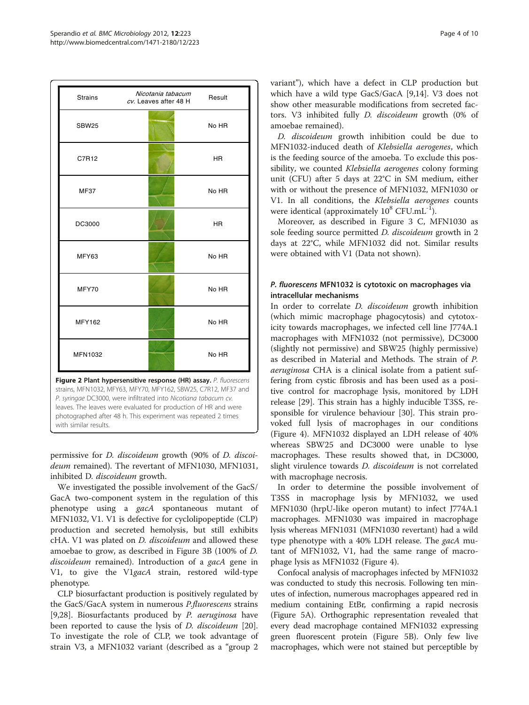<span id="page-3-0"></span>

permissive for D. discoideum growth (90% of D. discoideum remained). The revertant of MFN1030, MFN1031, inhibited D. discoideum growth.

We investigated the possible involvement of the GacS/ GacA two-component system in the regulation of this phenotype using a gacA spontaneous mutant of MFN1032, V1. V1 is defective for cyclolipopeptide (CLP) production and secreted hemolysis, but still exhibits cHA. V1 was plated on *D. discoideum* and allowed these amoebae to grow, as described in Figure [3B](#page-4-0) (100% of D. discoideum remained). Introduction of a gacA gene in V1, to give the V1*gacA* strain, restored wild-type phenotype.

CLP biosurfactant production is positively regulated by the GacS/GacA system in numerous P.fluorescens strains [[9,](#page-8-0)[28\]](#page-9-0). Biosurfactants produced by P. aeruginosa have been reported to cause the lysis of *D. discoideum* [\[20](#page-8-0)]. To investigate the role of CLP, we took advantage of strain V3, a MFN1032 variant (described as a "group 2 variant"), which have a defect in CLP production but which have a wild type GacS/GacA [[9,14\]](#page-8-0). V3 does not show other measurable modifications from secreted factors. V3 inhibited fully D. discoideum growth (0% of amoebae remained).

D. discoideum growth inhibition could be due to MFN1032-induced death of Klebsiella aerogenes, which is the feeding source of the amoeba. To exclude this possibility, we counted Klebsiella aerogenes colony forming unit (CFU) after 5 days at 22°C in SM medium, either with or without the presence of MFN1032, MFN1030 or V1. In all conditions, the Klebsiella aerogenes counts were identical (approximately  $10^8$  CFU.mL<sup>-1</sup>).

Moreover, as described in Figure [3](#page-4-0) C, MFN1030 as sole feeding source permitted D. discoideum growth in 2 days at 22°C, while MFN1032 did not. Similar results were obtained with V1 (Data not shown).

#### P. fluorescens MFN1032 is cytotoxic on macrophages via intracellular mechanisms

In order to correlate D. discoideum growth inhibition (which mimic macrophage phagocytosis) and cytotoxicity towards macrophages, we infected cell line J774A.1 macrophages with MFN1032 (not permissive), DC3000 (slightly not permissive) and SBW25 (highly permissive) as described in Material and Methods. The strain of P. aeruginosa CHA is a clinical isolate from a patient suffering from cystic fibrosis and has been used as a positive control for macrophage lysis, monitored by LDH release [\[29\]](#page-9-0). This strain has a highly inducible T3SS, responsible for virulence behaviour [\[30\]](#page-9-0). This strain provoked full lysis of macrophages in our conditions (Figure [4\)](#page-4-0). MFN1032 displayed an LDH release of 40% whereas SBW25 and DC3000 were unable to lyse macrophages. These results showed that, in DC3000, slight virulence towards *D. discoideum* is not correlated with macrophage necrosis.

In order to determine the possible involvement of T3SS in macrophage lysis by MFN1032, we used MFN1030 (hrpU-like operon mutant) to infect J774A.1 macrophages. MFN1030 was impaired in macrophage lysis whereas MFN1031 (MFN1030 revertant) had a wild type phenotype with a 40% LDH release. The gacA mutant of MFN1032, V1, had the same range of macrophage lysis as MFN1032 (Figure [4\)](#page-4-0).

Confocal analysis of macrophages infected by MFN1032 was conducted to study this necrosis. Following ten minutes of infection, numerous macrophages appeared red in medium containing EtBr, confirming a rapid necrosis (Figure [5A](#page-5-0)). Orthographic representation revealed that every dead macrophage contained MFN1032 expressing green fluorescent protein (Figure [5B\)](#page-5-0). Only few live macrophages, which were not stained but perceptible by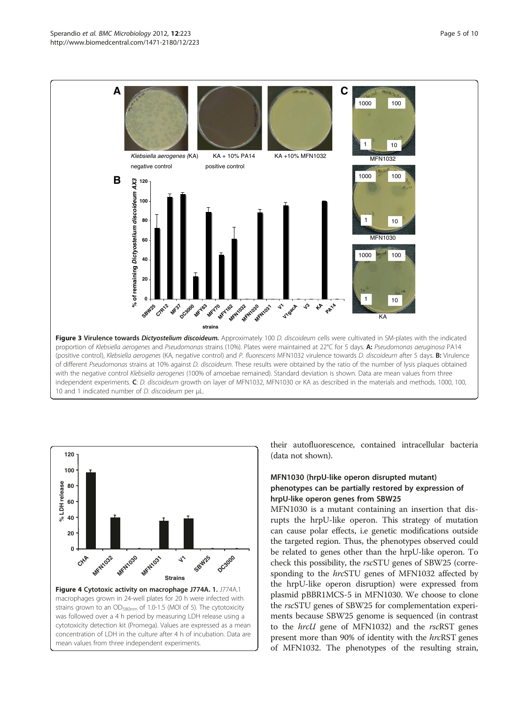<span id="page-4-0"></span>



their autofluorescence, contained intracellular bacteria (data not shown).

## MFN1030 (hrpU-like operon disrupted mutant) phenotypes can be partially restored by expression of hrpU-like operon genes from SBW25

MFN1030 is a mutant containing an insertion that disrupts the hrpU-like operon. This strategy of mutation can cause polar effects, i.e genetic modifications outside the targeted region. Thus, the phenotypes observed could be related to genes other than the hrpU-like operon. To check this possibility, the rscSTU genes of SBW25 (corresponding to the hrcSTU genes of MFN1032 affected by the hrpU-like operon disruption) were expressed from plasmid pBBR1MCS-5 in MFN1030. We choose to clone the rscSTU genes of SBW25 for complementation experiments because SBW25 genome is sequenced (in contrast to the hrcU gene of MFN1032) and the rscRST genes present more than 90% of identity with the *hrcRST* genes of MFN1032. The phenotypes of the resulting strain,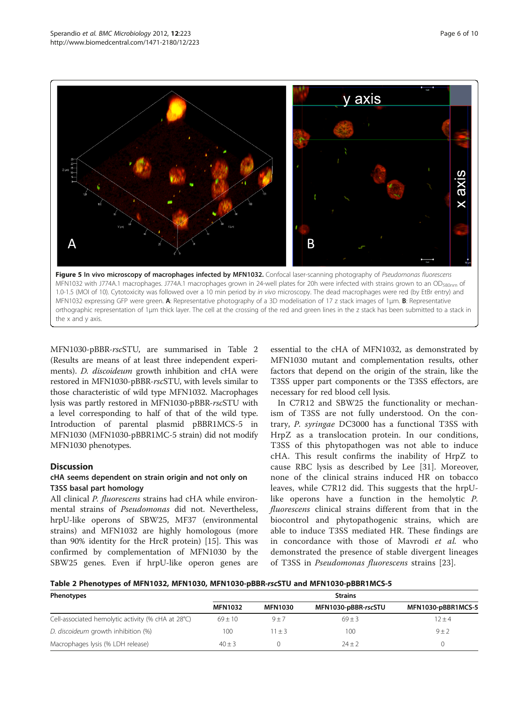<span id="page-5-0"></span>

MFN1030-pBBR-rscSTU, are summarised in Table 2 (Results are means of at least three independent experiments). *D. discoideum* growth inhibition and cHA were restored in MFN1030-pBBR-rscSTU, with levels similar to those characteristic of wild type MFN1032. Macrophages lysis was partly restored in MFN1030-pBBR-rscSTU with a level corresponding to half of that of the wild type. Introduction of parental plasmid pBBR1MCS-5 in MFN1030 (MFN1030-pBBR1MC-5 strain) did not modify MFN1030 phenotypes.

#### Discussion

the x and y axis.

#### cHA seems dependent on strain origin and not only on T3SS basal part homology

All clinical P. fluorescens strains had cHA while environmental strains of Pseudomonas did not. Nevertheless, hrpU-like operons of SBW25, MF37 (environmental strains) and MFN1032 are highly homologous (more than 90% identity for the HrcR protein) [[15\]](#page-8-0). This was confirmed by complementation of MFN1030 by the SBW25 genes. Even if hrpU-like operon genes are

essential to the cHA of MFN1032, as demonstrated by MFN1030 mutant and complementation results, other factors that depend on the origin of the strain, like the T3SS upper part components or the T3SS effectors, are necessary for red blood cell lysis.

In C7R12 and SBW25 the functionality or mechanism of T3SS are not fully understood. On the contrary, P. syringae DC3000 has a functional T3SS with HrpZ as a translocation protein. In our conditions, T3SS of this phytopathogen was not able to induce cHA. This result confirms the inability of HrpZ to cause RBC lysis as described by Lee [[31\]](#page-9-0). Moreover, none of the clinical strains induced HR on tobacco leaves, while C7R12 did. This suggests that the hrpUlike operons have a function in the hemolytic P. fluorescens clinical strains different from that in the biocontrol and phytopathogenic strains, which are able to induce T3SS mediated HR. These findings are in concordance with those of Mavrodi et al. who demonstrated the presence of stable divergent lineages of T3SS in Pseudomonas fluorescens strains [[23\]](#page-8-0).

Table 2 Phenotypes of MFN1032, MFN1030, MFN1030-pBBR-rscSTU and MFN1030-pBBR1MCS-5

| Phenotypes                                         | <b>Strains</b> |                |                     |                    |  |
|----------------------------------------------------|----------------|----------------|---------------------|--------------------|--|
|                                                    | <b>MFN1032</b> | <b>MFN1030</b> | MFN1030-pBBR-rscSTU | MFN1030-pBBR1MCS-5 |  |
| Cell-associated hemolytic activity (% cHA at 28°C) | $69 + 10$      | $9 + 7$        | $69 + 3$            | $12 + 4$           |  |
| D. discoideum growth inhibition (%)                | 100            | $11 + 3$       | 100                 | $9 + 2$            |  |
| Macrophages lysis (% LDH release)                  | $40 + 3$       |                | $74 + 7$            |                    |  |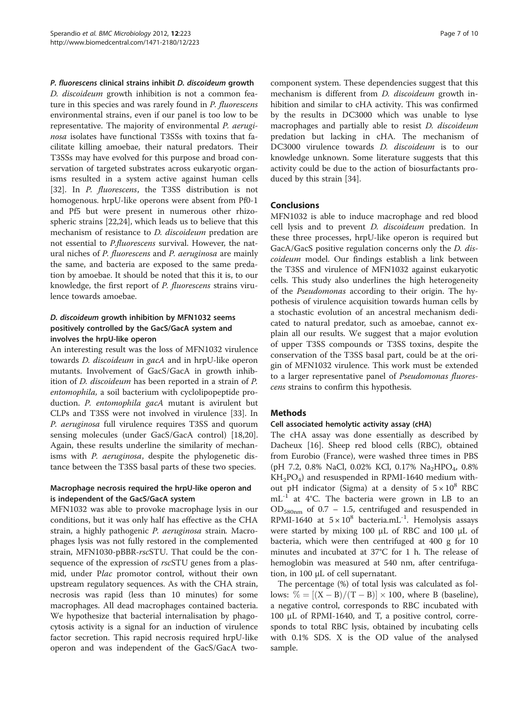P. fluorescens clinical strains inhibit D. discoideum growth D. discoideum growth inhibition is not a common feature in this species and was rarely found in P. fluorescens environmental strains, even if our panel is too low to be representative. The majority of environmental P. aeruginosa isolates have functional T3SSs with toxins that facilitate killing amoebae, their natural predators. Their T3SSs may have evolved for this purpose and broad conservation of targeted substrates across eukaryotic organisms resulted in a system active against human cells [[32\]](#page-9-0). In *P. fluorescens*, the T3SS distribution is not homogenous. hrpU-like operons were absent from Pf0-1 and Pf5 but were present in numerous other rhizospheric strains [[22,24\]](#page-8-0), which leads us to believe that this mechanism of resistance to *D. discoideum* predation are not essential to P.fluorescens survival. However, the natural niches of P. fluorescens and P. aeruginosa are mainly the same, and bacteria are exposed to the same predation by amoebae. It should be noted that this it is, to our knowledge, the first report of P. fluorescens strains virulence towards amoebae.

## D. discoideum growth inhibition by MFN1032 seems positively controlled by the GacS/GacA system and involves the hrpU-like operon

An interesting result was the loss of MFN1032 virulence towards *D. discoideum* in gacA and in hrpU-like operon mutants. Involvement of GacS/GacA in growth inhibition of D. discoideum has been reported in a strain of P. entomophila, a soil bacterium with cyclolipopeptide production. P. entomophila gacA mutant is avirulent but CLPs and T3SS were not involved in virulence [[33](#page-9-0)]. In P. aeruginosa full virulence requires T3SS and quorum sensing molecules (under GacS/GacA control) [\[18,20](#page-8-0)]. Again, these results underline the similarity of mechanisms with *P. aeruginosa*, despite the phylogenetic distance between the T3SS basal parts of these two species.

## Macrophage necrosis required the hrpU-like operon and is independent of the GacS/GacA system

MFN1032 was able to provoke macrophage lysis in our conditions, but it was only half has effective as the CHA strain, a highly pathogenic P. aeruginosa strain. Macrophages lysis was not fully restored in the complemented strain, MFN1030-pBBR-rscSTU. That could be the consequence of the expression of rscSTU genes from a plasmid, under Plac promotor control, without their own upstream regulatory sequences. As with the CHA strain, necrosis was rapid (less than 10 minutes) for some macrophages. All dead macrophages contained bacteria. We hypothesize that bacterial internalisation by phagocytosis activity is a signal for an induction of virulence factor secretion. This rapid necrosis required hrpU-like operon and was independent of the GacS/GacA twocomponent system. These dependencies suggest that this mechanism is different from D. discoideum growth inhibition and similar to cHA activity. This was confirmed by the results in DC3000 which was unable to lyse macrophages and partially able to resist D. discoideum predation but lacking in cHA. The mechanism of DC3000 virulence towards D. discoideum is to our knowledge unknown. Some literature suggests that this activity could be due to the action of biosurfactants produced by this strain [[34](#page-9-0)].

## Conclusions

MFN1032 is able to induce macrophage and red blood cell lysis and to prevent D. discoideum predation. In these three processes, hrpU-like operon is required but GacA/GacS positive regulation concerns only the *D. dis*coideum model. Our findings establish a link between the T3SS and virulence of MFN1032 against eukaryotic cells. This study also underlines the high heterogeneity of the Pseudomonas according to their origin. The hypothesis of virulence acquisition towards human cells by a stochastic evolution of an ancestral mechanism dedicated to natural predator, such as amoebae, cannot explain all our results. We suggest that a major evolution of upper T3SS compounds or T3SS toxins, despite the conservation of the T3SS basal part, could be at the origin of MFN1032 virulence. This work must be extended to a larger representative panel of Pseudomonas fluorescens strains to confirm this hypothesis.

## **Methods**

## Cell associated hemolytic activity assay (cHA)

The cHA assay was done essentially as described by Dacheux [\[16](#page-8-0)]. Sheep red blood cells (RBC), obtained from Eurobio (France), were washed three times in PBS (pH 7.2, 0.8% NaCl, 0.02% KCl, 0.17% Na<sub>2</sub>HPO<sub>4</sub>, 0.8%  $KH<sub>2</sub>PO<sub>4</sub>$ ) and resuspended in RPMI-1640 medium without pH indicator (Sigma) at a density of  $5 \times 10^8$  RBC mL<sup>-1</sup> at 4°C. The bacteria were grown in LB to an  $OD_{580nm}$  of 0.7 – 1.5, centrifuged and resuspended in RPMI-1640 at  $5 \times 10^8$  bacteria.mL<sup>-1</sup>. Hemolysis assays were started by mixing 100 μL of RBC and 100 μL of bacteria, which were then centrifuged at 400 g for 10 minutes and incubated at 37°C for 1 h. The release of hemoglobin was measured at 540 nm, after centrifugation, in 100 μL of cell supernatant.

The percentage (%) of total lysis was calculated as follows:  $\% = \frac{(X - B)}{(T - B)} \times 100$ , where B (baseline), a negative control, corresponds to RBC incubated with 100 μL of RPMI-1640, and T, a positive control, corresponds to total RBC lysis, obtained by incubating cells with 0.1% SDS. X is the OD value of the analysed sample.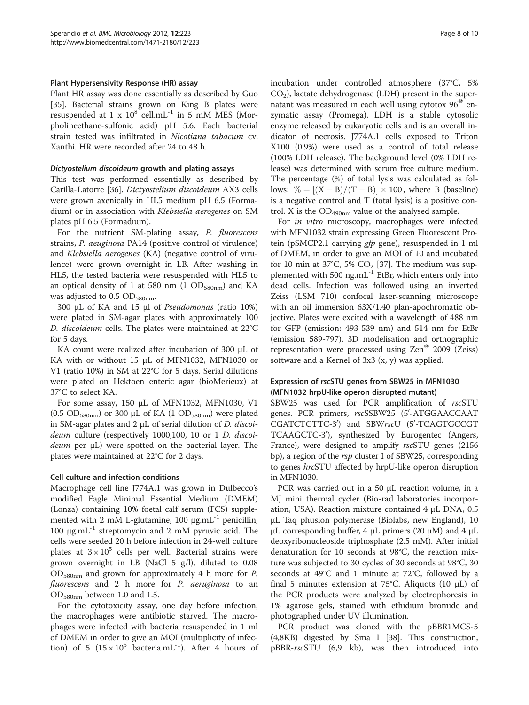#### Plant Hypersensivity Response (HR) assay

Plant HR assay was done essentially as described by Guo [[35\]](#page-9-0). Bacterial strains grown on King B plates were resuspended at 1 x  $10^8$  cell.mL<sup>-1</sup> in 5 mM MES (Morpholineethane-sulfonic acid) pH 5.6. Each bacterial strain tested was infiltrated in Nicotiana tabacum cv. Xanthi. HR were recorded after 24 to 48 h.

#### Dictyostelium discoideum growth and plating assays

This test was performed essentially as described by Carilla-Latorre [[36\]](#page-9-0). Dictyostelium discoideum AX3 cells were grown axenically in HL5 medium pH 6.5 (Formadium) or in association with Klebsiella aerogenes on SM plates pH 6.5 (Formadium).

For the nutrient SM-plating assay, P. fluorescens strains, P. aeuginosa PA14 (positive control of virulence) and Klebsiella aerogenes (KA) (negative control of virulence) were grown overnight in LB. After washing in HL5, the tested bacteria were resuspended with HL5 to an optical density of 1 at 580 nm (1  $OD_{580nm}$ ) and KA was adjusted to 0.5 OD<sub>580nm</sub>.

300 μL of KA and 15 μl of Pseudomonas (ratio 10%) were plated in SM-agar plates with approximately 100 D. discoideum cells. The plates were maintained at 22°C for 5 days.

KA count were realized after incubation of 300 μL of KA with or without 15 μL of MFN1032, MFN1030 or V1 (ratio 10%) in SM at 22°C for 5 days. Serial dilutions were plated on Hektoen enteric agar (bioMerieux) at 37°C to select KA.

For some assay, 150 μL of MFN1032, MFN1030, V1 (0.5 OD<sub>580nm</sub>) or 300 μL of KA (1 OD<sub>580nm</sub>) were plated in SM-agar plates and 2  $\mu$ L of serial dilution of *D. discoi*deum culture (respectively 1000,100, 10 or 1 D. discoideum per μL) were spotted on the bacterial layer. The plates were maintained at 22°C for 2 days.

#### Cell culture and infection conditions

Macrophage cell line J774A.1 was grown in Dulbecco's modified Eagle Minimal Essential Medium (DMEM) (Lonza) containing 10% foetal calf serum (FCS) supplemented with 2 mM L-glutamine, 100  $\mu$ g.mL<sup>-1</sup> penicillin, 100 μg.mL<sup>-1</sup> streptomycin and 2 mM pyruvic acid. The cells were seeded 20 h before infection in 24-well culture plates at  $3 \times 10^5$  cells per well. Bacterial strains were grown overnight in LB (NaCl  $5$  g/l), diluted to 0.08 OD580nm and grown for approximately 4 h more for P. fluorescens and 2 h more for P. aeruginosa to an OD580nm between 1.0 and 1.5.

For the cytotoxicity assay, one day before infection, the macrophages were antibiotic starved. The macrophages were infected with bacteria resuspended in 1 ml of DMEM in order to give an MOI (multiplicity of infection) of 5  $(15 \times 10^5 \text{ bacteria.mL}^{-1})$ . After 4 hours of incubation under controlled atmosphere (37°C, 5%  $CO<sub>2</sub>$ ), lactate dehydrogenase (LDH) present in the supernatant was measured in each well using cytotox  $96^{\circ}$  enzymatic assay (Promega). LDH is a stable cytosolic enzyme released by eukaryotic cells and is an overall indicator of necrosis. J774A.1 cells exposed to Triton X100 (0.9%) were used as a control of total release (100% LDH release). The background level (0% LDH release) was determined with serum free culture medium. The percentage (%) of total lysis was calculated as follows:  $\% = \frac{(X - B)}{(T - B)} \times 100$ , where B (baseline) is a negative control and T (total lysis) is a positive control. X is the  $OD_{490nm}$  value of the analysed sample.

For in vitro microscopy, macrophages were infected with MFN1032 strain expressing Green Fluorescent Protein (pSMCP2.1 carrying gfp gene), resuspended in 1 ml of DMEM, in order to give an MOI of 10 and incubated for 10 min at 37°C, 5%  $CO<sub>2</sub>$  [\[37](#page-9-0)]. The medium was supplemented with 500 ng.mL $^{-1}$  EtBr, which enters only into dead cells. Infection was followed using an inverted Zeiss (LSM 710) confocal laser-scanning microscope with an oil immersion 63X/1.40 plan-apochromatic objective. Plates were excited with a wavelength of 488 nm for GFP (emission: 493-539 nm) and 514 nm for EtBr (emission 589-797). 3D modelisation and orthographic representation were processed using  $\text{Zen}^{\otimes}$  2009 (Zeiss) software and a Kernel of 3x3 (x, y) was applied.

#### Expression of rscSTU genes from SBW25 in MFN1030 (MFN1032 hrpU-like operon disrupted mutant)

SBW25 was used for PCR amplification of rscSTU genes. PCR primers, rscSSBW25 (5'-ATGGAACCAAT CGATCTGTTC-3<sup>'</sup>) and SBWrscU (5'-TCAGTGCCGT TCAAGCTC-3'), synthesized by Eurogentec (Angers, France), were designed to amplify rscSTU genes (2156 bp), a region of the rsp cluster I of SBW25, corresponding to genes hrcSTU affected by hrpU-like operon disruption in MFN1030.

PCR was carried out in a 50 μL reaction volume, in a MJ mini thermal cycler (Bio-rad laboratories incorporation, USA). Reaction mixture contained 4 μL DNA, 0.5 μL Taq phusion polymerase (Biolabs, new England), 10 μL corresponding buffer, 4 μL primers (20 μM) and 4 μL deoxyribonucleoside triphosphate (2.5 mM). After initial denaturation for 10 seconds at 98°C, the reaction mixture was subjected to 30 cycles of 30 seconds at 98°C, 30 seconds at 49°C and 1 minute at 72°C, followed by a final 5 minutes extension at 75°C. Aliquots (10  $\mu$ L) of the PCR products were analyzed by electrophoresis in 1% agarose gels, stained with ethidium bromide and photographed under UV illumination.

PCR product was cloned with the pBBR1MCS-5 (4,8KB) digested by Sma I [[38](#page-9-0)]. This construction, pBBR-rscSTU (6,9 kb), was then introduced into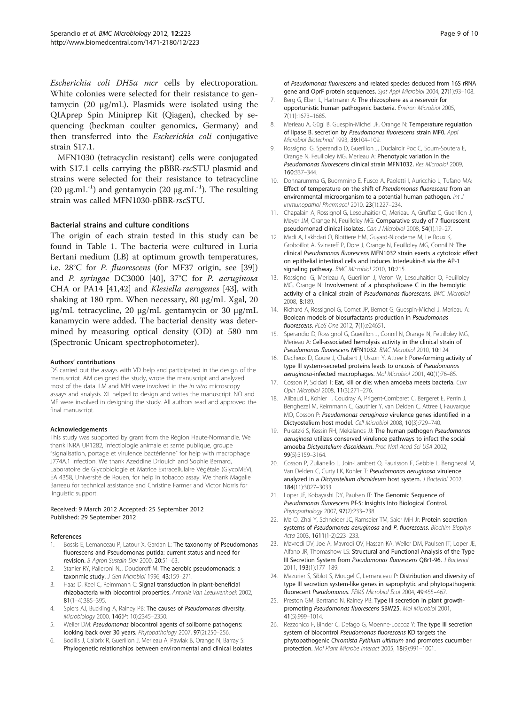<span id="page-8-0"></span>Escherichia coli DH5α mcr cells by electroporation. White colonies were selected for their resistance to gentamycin (20 μg/mL). Plasmids were isolated using the QIAprep Spin Miniprep Kit (Qiagen), checked by sequencing (beckman coulter genomics, Germany) and then transferred into the Escherichia coli conjugative strain S17.1.

MFN1030 (tetracyclin resistant) cells were conjugated with S17.1 cells carrying the pBBR-rscSTU plasmid and strains were selected for their resistance to tetracycline (20  $\mu$ g.mL<sup>-1</sup>) and gentamycin (20  $\mu$ g.mL<sup>-1</sup>). The resulting strain was called MFN1030-pBBR-rscSTU.

#### Bacterial strains and culture conditions

The origin of each strain tested in this study can be found in Table [1](#page-2-0). The bacteria were cultured in Luria Bertani medium (LB) at optimum growth temperatures, i.e. 28°C for P. fluorescens (for MF37 origin, see [\[39](#page-9-0)]) and P. syringae DC3000 [\[40\]](#page-9-0), 37°C for P. aeruginosa CHA or PA14 [[41,42\]](#page-9-0) and Klesiella aerogenes [[43\]](#page-9-0), with shaking at 180 rpm. When necessary, 80 μg/mL Xgal, 20 μg/mL tetracycline, 20 μg/mL gentamycin or 30 μg/mL kanamycin were added. The bacterial density was determined by measuring optical density (OD) at 580 nm (Spectronic Unicam spectrophotometer).

#### Authors' contributions

DS carried out the assays with VD help and participated in the design of the manuscript. AM designed the study, wrote the manuscript and analyzed most of the data. LM and MH were involved in the in vitro microscopy assays and analysis. XL helped to design and writes the manuscript. NO and MF were involved in designing the study. All authors read and approved the final manuscript.

#### Acknowledgements

This study was supported by grant from the Région Haute-Normandie. We thank INRA UR1282, infectiologie animale et santé publique, groupe "signalisation, portage et virulence bactérienne" for help with macrophage J774A.1 infection. We thank Azeddine Driouich and Sophie Bernard, Laboratoire de Glycobiologie et Matrice Extracellulaire Végétale (GlycoMEV), EA 4358, Université de Rouen, for help in tobacco assay. We thank Magalie Barreau for technical assistance and Christine Farmer and Victor Norris for linguistic support.

#### Received: 9 March 2012 Accepted: 25 September 2012 Published: 29 September 2012

#### References

- 1. Bossis E, Lemanceau P, Latour X, Gardan L: The taxonomy of Pseudomonas fluorescens and Pseudomonas putida: current status and need for revision. B Agron Sustain Dev 2000, 20:51–63.
- Stanier RY, Palleroni NJ, Doudoroff M: The aerobic pseudomonads: a taxonmic study. J Gen Microbiol 1996, 43:159–271.
- 3. Haas D, Keel C, Reimmann C: Signal transduction in plant-beneficial rhizobacteria with biocontrol properties. Antonie Van Leeuwenhoek 2002, 81(1–4):385–395.
- 4. Spiers AJ, Buckling A, Rainey PB: The causes of Pseudomonas diversity. Microbiology 2000, 146(Pt 10):2345–2350.
- Weller DM: Pseudomonas biocontrol agents of soilborne pathogens: looking back over 30 years. Phytopathology 2007, 97(2):250–256.
- 6. Bodilis J, Calbrix R, Guerillon J, Merieau A, Pawlak B, Orange N, Barray S: Phylogenetic relationships between environmental and clinical isolates

of Pseudomonas fluorescens and related species deduced from 16S rRNA gene and OprF protein sequences. Syst Appl Microbiol 2004, 27(1):93–108.

- 7. Berg G, Eberl L, Hartmann A: The rhizosphere as a reservoir for opportunistic human pathogenic bacteria. Environ Microbiol 2005, 7(11):1673–1685.
- 8. Merieau A, Gügi B, Guespin-Michel JF, Orange N: Temperature regulation of lipase B. secretion by Pseudomonas fluorescens strain MF0. Appl Microbiol Biotechnol 1993, 39:104–109.
- 9. Rossignol G, Sperandio D, Guerillon J, Duclairoir Poc C, Soum-Soutera E, Orange N, Feuilloley MG, Merieau A: Phenotypic variation in the Pseudomonas fluorescens clinical strain MFN1032. Res Microbiol 2009, 160:337–344.
- 10. Donnarumma G, Buommino E, Fusco A, Paoletti I, Auricchio L, Tufano MA: Effect of temperature on the shift of Pseudomonas fluorescens from an environmental microorganism to a potential human pathogen. Int J Immunopathol Pharmacol 2010, 23(1):227–234.
- 11. Chapalain A, Rossignol G, Lesouhaitier O, Merieau A, Gruffaz C, Guerillon J, Meyer JM, Orange N, Feuilloley MG: Comparative study of 7 fluorescent pseudomonad clinical isolates. Can J Microbiol 2008, 54(1):19–27.
- 12. Madi A, Lakhdari O, Blottiere HM, Guyard-Nicodeme M, Le Roux K, Groboillot A, Svinareff P, Dore J, Orange N, Feuilloley MG, Connil N: The clinical Pseudomonas fluorescens MFN1032 strain exerts a cytotoxic effect on epithelial intestinal cells and induces Interleukin-8 via the AP-1 signaling pathway. BMC Microbiol 2010, 10:215.
- 13. Rossignol G, Merieau A, Guerillon J, Veron W, Lesouhaitier O, Feuilloley MG, Orange N: Involvement of a phospholipase C in the hemolytic activity of a clinical strain of Pseudomonas fluorescens. BMC Microbiol 2008, 8:189.
- 14. Richard A, Rossignol G, Comet JP, Bernot G, Guespin-Michel J, Merieau A: Boolean models of biosurfactants production in Pseudomonas fluorescens. PLoS One 2012, 7(1):e24651.
- 15. Sperandio D, Rossignol G, Guerillon J, Connil N, Orange N, Feuilloley MG, Merieau A: Cell-associated hemolysis activity in the clinical strain of Pseudomonas fluorescens MFN1032. BMC Microbiol 2010, 10:124.
- 16. Dacheux D, Goure J, Chabert J, Usson Y, Attree I: Pore-forming activity of type III system-secreted proteins leads to oncosis of Pseudomonas aeruginosa-infected macrophages. Mol Microbiol 2001, 40(1):76–85.
- 17. Cosson P, Soldati T: Eat, kill or die: when amoeba meets bacteria. Curr Opin Microbiol 2008, 11(3):271–276.
- 18. Alibaud L, Kohler T, Coudray A, Prigent-Combaret C, Bergeret E, Perrin J, Benghezal M, Reimmann C, Gauthier Y, van Delden C, Attree I, Fauvarque MO, Cosson P: Pseudomonas aeruginosa virulence genes identified in a Dictyostelium host model. Cell Microbiol 2008, 10(3):729–740.
- 19. Pukatzki S, Kessin RH, Mekalanos JJ: The human pathogen Pseudomonas aeruginosa utilizes conserved virulence pathways to infect the social amoeba Dictyostelium discoideum. Proc Natl Acad Sci USA 2002, 99(5):3159–3164.
- 20. Cosson P, Zulianello L, Join-Lambert O, Faurisson F, Gebbie L, Benghezal M, Van Delden C, Curty LK, Kohler T: Pseudomonas aeruginosa virulence analyzed in a Dictyostelium discoideum host system. J Bacteriol 2002, 184(11):3027–3033.
- 21. Loper JE, Kobayashi DY, Paulsen IT: The Genomic Sequence of Pseudomonas fluorescens Pf-5: Insights Into Biological Control. Phytopathology 2007, 97(2):233-238.
- 22. Ma Q, Zhai Y, Schneider JC, Ramseier TM, Saier MH Jr: Protein secretion systems of Pseudomonas aeruginosa and P. fluorescens. Biochim Biophys Acta 2003, 1611(1-2):223-233.
- 23. Mavrodi DV, Joe A, Mavrodi OV, Hassan KA, Weller DM, Paulsen IT, Loper JE, Alfano JR, Thomashow LS: Structural and Functional Analysis of the Type III Secretion System from Pseudomonas fluorescens Q8r1-96. J Bacteriol 2011, 193(1):177–189.
- 24. Mazurier S, Siblot S, Mougel C, Lemanceau P: Distribution and diversity of type III secretion system-like genes in saprophytic and phytopathogenic fluorecent Pseudomonas. FEMS Microbiol Ecol 2004, 49:455–467.
- 25. Preston GM, Bertrand N, Rainey PB: Type III secretion in plant growthpromoting Pseudomonas fluorescens SBW25. Mol Microbiol 2001, 41(5):999–1014.
- 26. Rezzonico F, Binder C, Defago G, Moenne-Loccoz Y: The type III secretion system of biocontrol Pseudomonas fluorescens KD targets the phytopathogenic Chromista Pythium ultimum and promotes cucumber protection. Mol Plant Microbe Interact 2005, 18(9):991–1001.